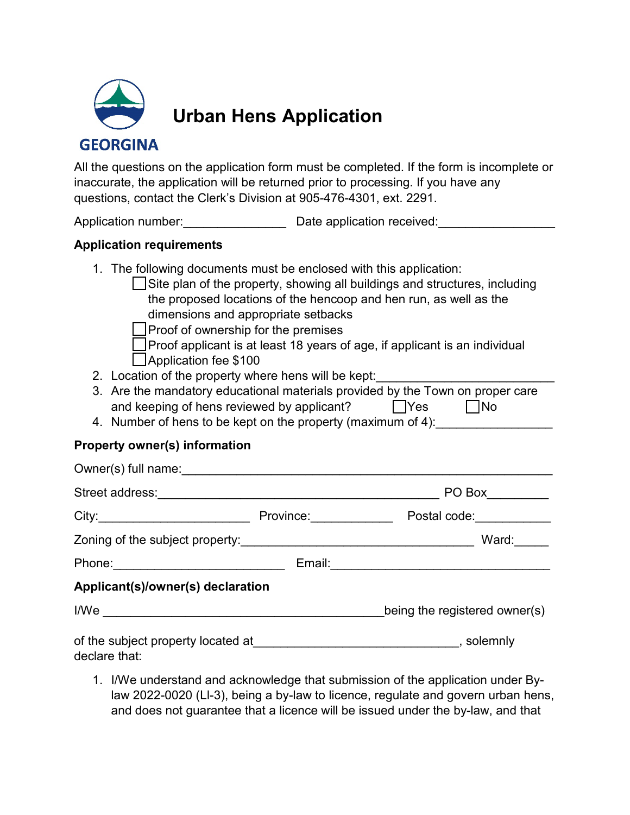

# **Urban Hens Application**

# **GEORGINA**

All the questions on the application form must be completed. If the form is incomplete or inaccurate, the application will be returned prior to processing. If you have any questions, contact the Clerk's Division at 905-476-4301, ext. 2291.

Application number: \_\_\_\_\_\_\_\_\_\_\_\_\_\_\_\_\_ Date application received:

#### **Application requirements**

- 1. The following documents must be enclosed with this application:
	- $\Box$  Site plan of the property, showing all buildings and structures, including the proposed locations of the hencoop and hen run, as well as the dimensions and appropriate setbacks
	- $\Box$  Proof of ownership for the premises
	- Proof applicant is at least 18 years of age, if applicant is an individual Application fee \$100
- 2. Location of the property where hens will be kept:
- 3. Are the mandatory educational materials provided by the Town on proper care and keeping of hens reviewed by applicant?  $\Box$  Yes  $\Box$  No
- 4. Number of hens to be kept on the property (maximum of 4):

## **Property owner(s) information**

| Owner(s) full name:                      |                      |                               |
|------------------------------------------|----------------------|-------------------------------|
| Street address:                          |                      | PO Box                        |
|                                          | Province: __________ | Postal code:                  |
| Zoning of the subject property:          |                      | Ward:                         |
|                                          | Email:               |                               |
| Applicant(s)/owner(s) declaration        |                      |                               |
| <u>I/We ____________________________</u> |                      | being the registered owner(s) |
| declare that:                            |                      |                               |

1. I/We understand and acknowledge that submission of the application under Bylaw 2022-0020 (Ll-3), being a by-law to licence, regulate and govern urban hens, and does not guarantee that a licence will be issued under the by-law, and that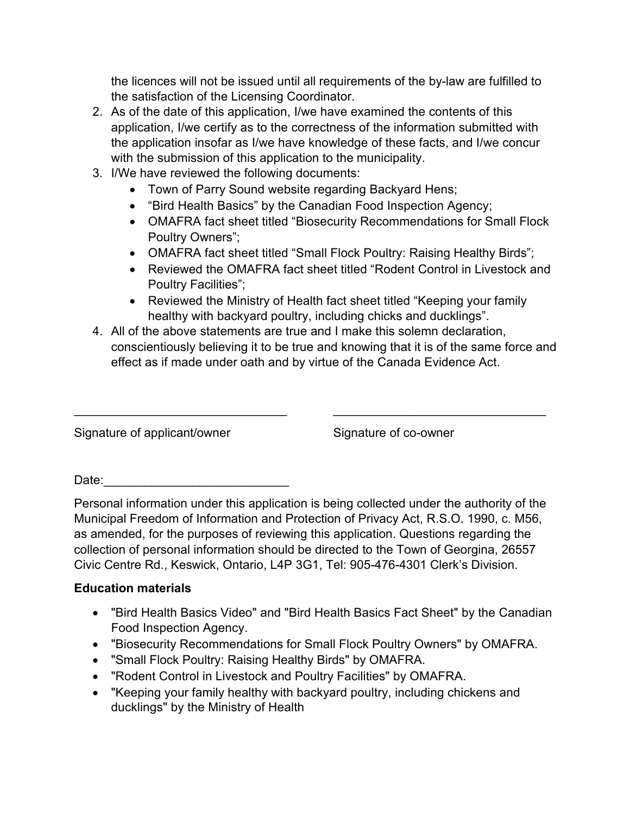the licences will not be issued until all requirements of the by-law are fulfilled to the satisfaction of the Licensing Coordinator.

- 2. As of the date of this application, I/we have examined the contents of this application, I/we certify as to the correctness of the information submitted with the application insofar as I/we have knowledge of these facts, and I/we concur with the submission of this application to the municipality.
- 3. I/We have reviewed the following documents:
	- Town of Parry Sound website regarding Backyard Hens;
	- "Bird Health Basics" by the Canadian Food Inspection Agency;
	- OMAFRA fact sheet titled "Biosecurity Recommendations for Small Flock Poultry Owners";
	- OMAFRA fact sheet titled "Small Flock Poultry: Raising Healthy Birds";
	- Reviewed the OMAFRA fact sheet titled "Rodent Control in Livestock and Poultry Facilities":
	- Reviewed the Ministry of Health fact sheet titled "Keeping your family healthy with backyard poultry, including chicks and ducklings".
- 4. All of the above statements are true and I make this solemn declaration, conscientiously believing it to be true and knowing that it is of the same force and effect as if made under oath and by virtue of the Canada Evidence Act.

Signature of applicant/owner Signature of co-owner

 ${\sf Date:}$ 

Personal information under this application is being collected under the authority of the Municipal Freedom of Information and Protection of Privacy Act, R.S.O. 1990, c. M56, as amended, for the purposes of reviewing this application. Questions regarding the collection of personal information should be directed to the Town of Georgina, 26557 Civic Centre Rd., Keswick, Ontario, L4P 3G1, Tel: 905-476-4301 Clerk's Division.

\_\_\_\_\_\_\_\_\_\_\_\_\_\_\_\_\_\_\_\_\_\_\_\_\_\_\_\_\_\_\_ \_\_\_\_\_\_\_\_\_\_\_\_\_\_\_\_\_\_\_\_\_\_\_\_\_\_\_\_\_\_\_

## **Education materials**

- ["Bird Health Basics Video](https://inspection.canada.ca/animal-health/terrestrial-animals/biosecurity/tools/video/eng/1320092234079/1322158553549)" and "[Bird Health Basics Fact](https://inspection.canada.ca/animal-health/terrestrial-animals/diseases/backyard-flocks-and-pet-birds/eng/1323643634523/1323644740109) Sheet" by the Canadian Food Inspection Agency.
- "Biosecurity Recommendations for [Small Flock Poultry Owners](http://www.omafra.gov.on.ca/english/livestock/poultry/facts/12-039.htm)" by OMAFRA.
- ["Small Flock Poultry: Raising Healthy Birds](https://www.ontario.ca/page/raise-healthy-small-flock-poultry)" by OMAFRA.
- ["Rodent Control in Livestock](https://www.ontario.ca/page/rodent-control-livestock-and-poultry-facilities) and Poultry Facilities" by OMAFRA.
- "Keeping your family healthy with backyard poultry, including chickens and [ducklings" by the Ministry of Health](https://www.health.gov.on.ca/en/public/publications/backyard_poultry_fact_sheet_en.pdf)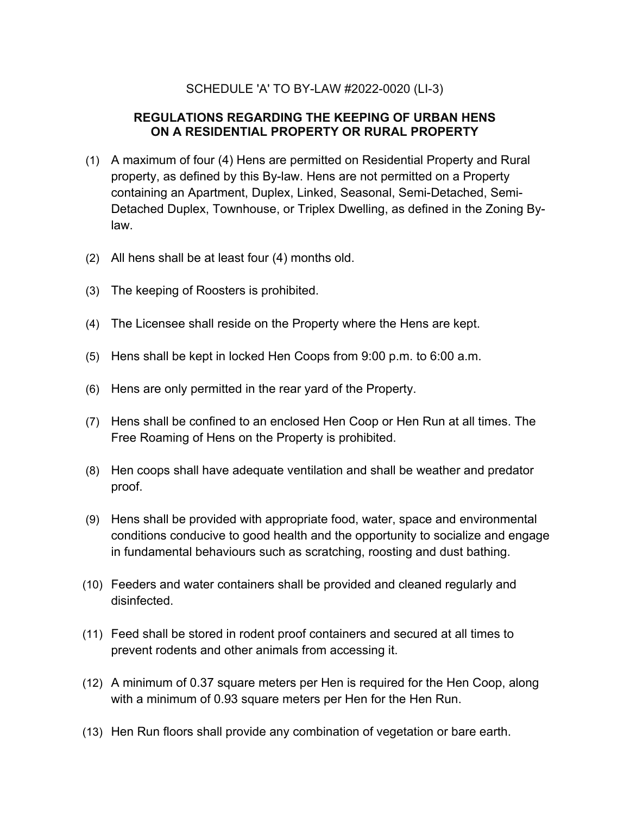#### SCHEDULE 'A' TO BY-LAW #2022-0020 (LI-3)

#### **REGULATIONS REGARDING THE KEEPING OF URBAN HENS ON A RESIDENTIAL PROPERTY OR RURAL PROPERTY**

- (1) A maximum of four (4) Hens are permitted on Residential Property and Rural property, as defined by this By-law. Hens are not permitted on a Property containing an Apartment, Duplex, Linked, Seasonal, Semi-Detached, Semi-Detached Duplex, Townhouse, or Triplex Dwelling, as defined in the Zoning Bylaw.
- (2) All hens shall be at least four (4) months old.
- (3) The keeping of Roosters is prohibited.
- (4) The Licensee shall reside on the Property where the Hens are kept.
- (5) Hens shall be kept in locked Hen Coops from 9:00 p.m. to 6:00 a.m.
- (6) Hens are only permitted in the rear yard of the Property.
- (7) Hens shall be confined to an enclosed Hen Coop or Hen Run at all times. The Free Roaming of Hens on the Property is prohibited.
- (8) Hen coops shall have adequate ventilation and shall be weather and predator proof.
- (9) Hens shall be provided with appropriate food, water, space and environmental conditions conducive to good health and the opportunity to socialize and engage in fundamental behaviours such as scratching, roosting and dust bathing.
- (10) Feeders and water containers shall be provided and cleaned regularly and disinfected.
- (11) Feed shall be stored in rodent proof containers and secured at all times to prevent rodents and other animals from accessing it.
- (12) A minimum of 0.37 square meters per Hen is required for the Hen Coop, along with a minimum of 0.93 square meters per Hen for the Hen Run.
- (13) Hen Run floors shall provide any combination of vegetation or bare earth.